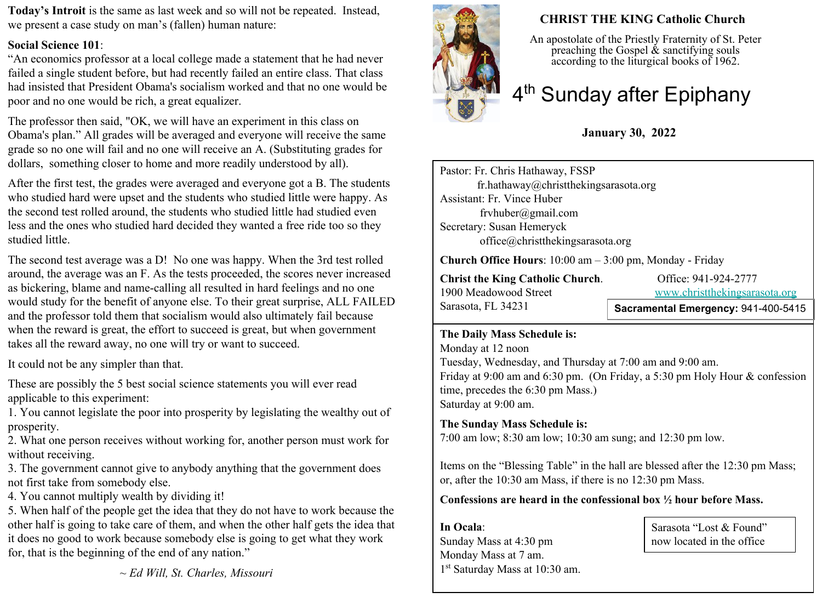**Today's Introit** is the same as last week and so will not be repeated. Instead, we present a case study on man's (fallen) human nature:

#### **Social Science 101**:

"An economics professor at a local college made a statement that he had never failed a single student before, but had recently failed an entire class. That class had insisted that President Obama's socialism worked and that no one would be poor and no one would be rich, a great equalizer.

The professor then said, "OK, we will have an experiment in this class on Obama's plan." All grades will be averaged and everyone will receive the same grade so no one will fail and no one will receive an A. (Substituting grades for dollars, something closer to home and more readily understood by all).

After the first test, the grades were averaged and everyone got a B. The students who studied hard were upset and the students who studied little were happy. As the second test rolled around, the students who studied little had studied even less and the ones who studied hard decided they wanted a free ride too so they studied little.

The second test average was a D! No one was happy. When the 3rd test rolled around, the average was an F. As the tests proceeded, the scores never increased as bickering, blame and name-calling all resulted in hard feelings and no one would study for the benefit of anyone else. To their great surprise, ALL FAILED and the professor told them that socialism would also ultimately fail because when the reward is great, the effort to succeed is great, but when government takes all the reward away, no one will try or want to succeed.

It could not be any simpler than that.

These are possibly the 5 best social science statements you will ever read applicable to this experiment:

1. You cannot legislate the poor into prosperity by legislating the wealthy out of prosperity.

2. What one person receives without working for, another person must work for without receiving.

3. The government cannot give to anybody anything that the government does not first take from somebody else.

4. You cannot multiply wealth by dividing it!

5. When half of the people get the idea that they do not have to work because the other half is going to take care of them, and when the other half gets the idea that it does no good to work because somebody else is going to get what they work for, that is the beginning of the end of any nation."

~ *Ed Will, St. Charles, Missouri* 



### **CHRIST THE KING Catholic Church**

An apostolate of the Priestly Fraternity of St. Peter preaching the Gospel  $\&$  sanctifying souls according to the liturgical books of 1962.

# 4<sup>th</sup> Sunday after Epiphany

## **January 30, 2022**

Pastor: Fr. Chris Hathaway, FSSP fr.hathaway@christthekingsarasota.org Assistant: Fr. Vince Huber frvhuber@gmail.com Secretary: Susan Hemeryck office@christthekingsarasota.org

**Church Office Hours**: 10:00 am – 3:00 pm, Monday - Friday

**Christ the King Catholic Church.** Office: 941-924-2777 1900 Meadowood Street [www.christthekingsarasota.org](http://www.christthekingsarasota.org/) Sarasota, FL 34231

**Sacramental Emergency:** 941-400-5415

#### **The Daily Mass Schedule is:**

Monday at 12 noon Tuesday, Wednesday, and Thursday at 7:00 am and 9:00 am. Friday at 9:00 am and 6:30 pm. (On Friday, a 5:30 pm Holy Hour & confession time, precedes the 6:30 pm Mass.) Saturday at 9:00 am.

# **The Sunday Mass Schedule is:**

7:00 am low; 8:30 am low; 10:30 am sung; and 12:30 pm low.

Items on the "Blessing Table" in the hall are blessed after the 12:30 pm Mass; or, after the 10:30 am Mass, if there is no 12:30 pm Mass.

#### **Confessions are heard in the confessional box ½ hour before Mass.**

**In Ocala**: Sunday Mass at 4:30 pm Monday Mass at 7 am. 1 st Saturday Mass at 10:30 am. Sarasota "Lost & Found" now located in the office